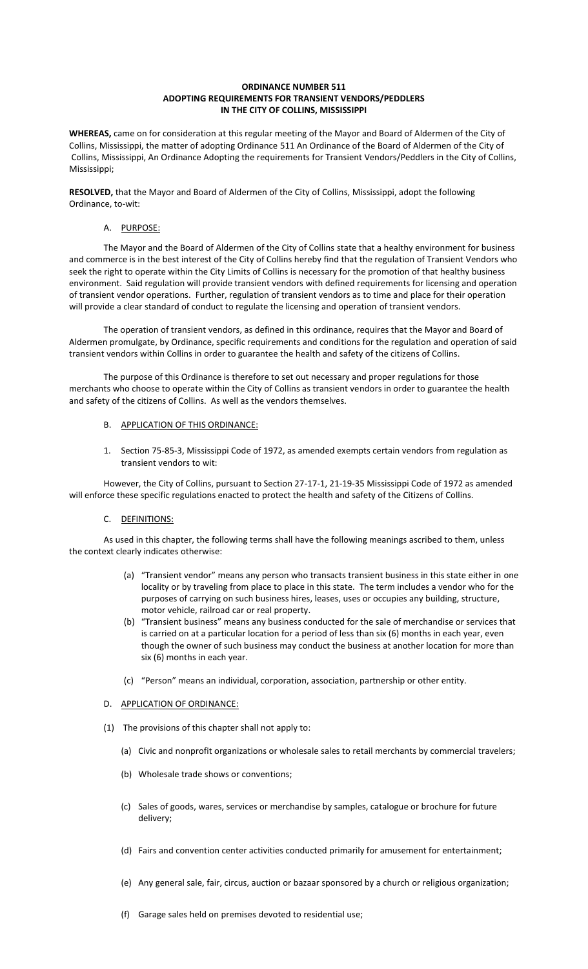#### **ORDINANCE NUMBER 511 ADOPTING REQUIREMENTS FOR TRANSIENT VENDORS/PEDDLERS IN THE CITY OF COLLINS, MISSISSIPPI**

**WHEREAS,** came on for consideration at this regular meeting of the Mayor and Board of Aldermen of the City of Collins, Mississippi, the matter of adopting Ordinance 511 An Ordinance of the Board of Aldermen of the City of Collins, Mississippi, An Ordinance Adopting the requirements for Transient Vendors/Peddlers in the City of Collins, Mississippi;

**RESOLVED,** that the Mayor and Board of Aldermen of the City of Collins, Mississippi, adopt the following Ordinance, to-wit:

#### A. PURPOSE:

The Mayor and the Board of Aldermen of the City of Collins state that a healthy environment for business and commerce is in the best interest of the City of Collins hereby find that the regulation of Transient Vendors who seek the right to operate within the City Limits of Collins is necessary for the promotion of that healthy business environment. Said regulation will provide transient vendors with defined requirements for licensing and operation of transient vendor operations. Further, regulation of transient vendors as to time and place for their operation will provide a clear standard of conduct to regulate the licensing and operation of transient vendors.

The operation of transient vendors, as defined in this ordinance, requires that the Mayor and Board of Aldermen promulgate, by Ordinance, specific requirements and conditions for the regulation and operation of said transient vendors within Collins in order to guarantee the health and safety of the citizens of Collins.

The purpose of this Ordinance is therefore to set out necessary and proper regulations for those merchants who choose to operate within the City of Collins as transient vendors in order to guarantee the health and safety of the citizens of Collins. As well as the vendors themselves.

#### B. APPLICATION OF THIS ORDINANCE:

1. Section 75-85-3, Mississippi Code of 1972, as amended exempts certain vendors from regulation as transient vendors to wit:

However, the City of Collins, pursuant to Section 27-17-1, 21-19-35 Mississippi Code of 1972 as amended will enforce these specific regulations enacted to protect the health and safety of the Citizens of Collins.

#### C. DEFINITIONS:

As used in this chapter, the following terms shall have the following meanings ascribed to them, unless the context clearly indicates otherwise:

- (a) "Transient vendor" means any person who transacts transient business in this state either in one locality or by traveling from place to place in this state. The term includes a vendor who for the purposes of carrying on such business hires, leases, uses or occupies any building, structure, motor vehicle, railroad car or real property.
- (b) "Transient business" means any business conducted for the sale of merchandise or services that is carried on at a particular location for a period of less than six (6) months in each year, even though the owner of such business may conduct the business at another location for more than six (6) months in each year.
- (c) "Person" means an individual, corporation, association, partnership or other entity.

# D. APPLICATION OF ORDINANCE:

- (1) The provisions of this chapter shall not apply to:
	- (a) Civic and nonprofit organizations or wholesale sales to retail merchants by commercial travelers;
	- (b) Wholesale trade shows or conventions;
	- (c) Sales of goods, wares, services or merchandise by samples, catalogue or brochure for future delivery;
	- (d) Fairs and convention center activities conducted primarily for amusement for entertainment;
	- (e) Any general sale, fair, circus, auction or bazaar sponsored by a church or religious organization;
	- (f) Garage sales held on premises devoted to residential use;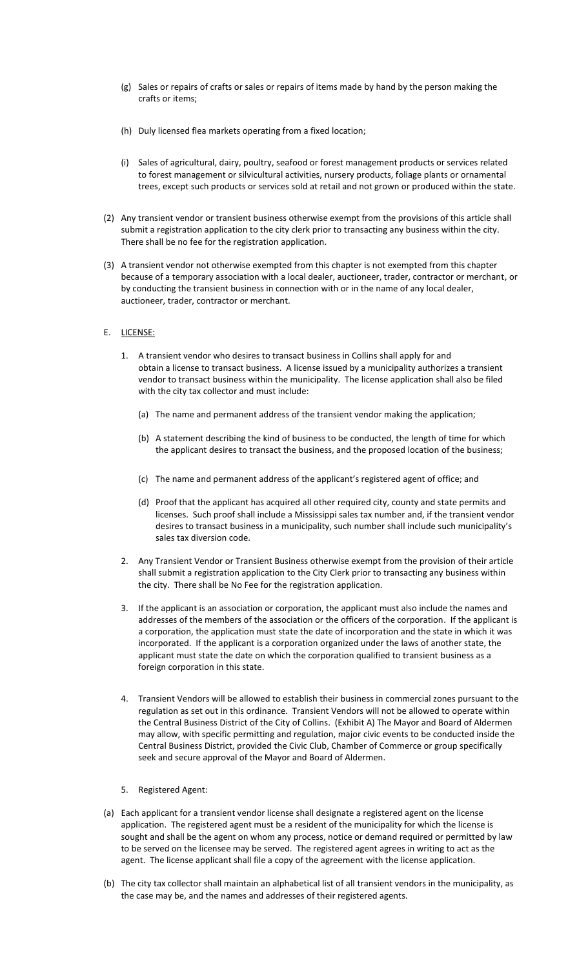- (g) Sales or repairs of crafts or sales or repairs of items made by hand by the person making the crafts or items;
- (h) Duly licensed flea markets operating from a fixed location;
- (i) Sales of agricultural, dairy, poultry, seafood or forest management products or services related to forest management or silvicultural activities, nursery products, foliage plants or ornamental trees, except such products or services sold at retail and not grown or produced within the state.
- (2) Any transient vendor or transient business otherwise exempt from the provisions of this article shall submit a registration application to the city clerk prior to transacting any business within the city. There shall be no fee for the registration application.
- (3) A transient vendor not otherwise exempted from this chapter is not exempted from this chapter because of a temporary association with a local dealer, auctioneer, trader, contractor or merchant, or by conducting the transient business in connection with or in the name of any local dealer, auctioneer, trader, contractor or merchant.

### E. LICENSE:

- 1. A transient vendor who desires to transact business in Collins shall apply for and obtain a license to transact business. A license issued by a municipality authorizes a transient vendor to transact business within the municipality. The license application shall also be filed with the city tax collector and must include:
	- (a) The name and permanent address of the transient vendor making the application;
	- (b) A statement describing the kind of business to be conducted, the length of time for which the applicant desires to transact the business, and the proposed location of the business;
	- (c) The name and permanent address of the applicant's registered agent of office; and
	- (d) Proof that the applicant has acquired all other required city, county and state permits and licenses. Such proof shall include a Mississippi sales tax number and, if the transient vendor desires to transact business in a municipality, such number shall include such municipality's sales tax diversion code.
- 2. Any Transient Vendor or Transient Business otherwise exempt from the provision of their article shall submit a registration application to the City Clerk prior to transacting any business within the city. There shall be No Fee for the registration application.
- 3. If the applicant is an association or corporation, the applicant must also include the names and addresses of the members of the association or the officers of the corporation. If the applicant is a corporation, the application must state the date of incorporation and the state in which it was incorporated. If the applicant is a corporation organized under the laws of another state, the applicant must state the date on which the corporation qualified to transient business as a foreign corporation in this state.
- 4. Transient Vendors will be allowed to establish their business in commercial zones pursuant to the regulation as set out in this ordinance. Transient Vendors will not be allowed to operate within the Central Business District of the City of Collins. (Exhibit A) The Mayor and Board of Aldermen may allow, with specific permitting and regulation, major civic events to be conducted inside the Central Business District, provided the Civic Club, Chamber of Commerce or group specifically seek and secure approval of the Mayor and Board of Aldermen.
- 5. Registered Agent:
- (a) Each applicant for a transient vendor license shall designate a registered agent on the license application. The registered agent must be a resident of the municipality for which the license is sought and shall be the agent on whom any process, notice or demand required or permitted by law to be served on the licensee may be served. The registered agent agrees in writing to act as the agent. The license applicant shall file a copy of the agreement with the license application.
- (b) The city tax collector shall maintain an alphabetical list of all transient vendors in the municipality, as the case may be, and the names and addresses of their registered agents.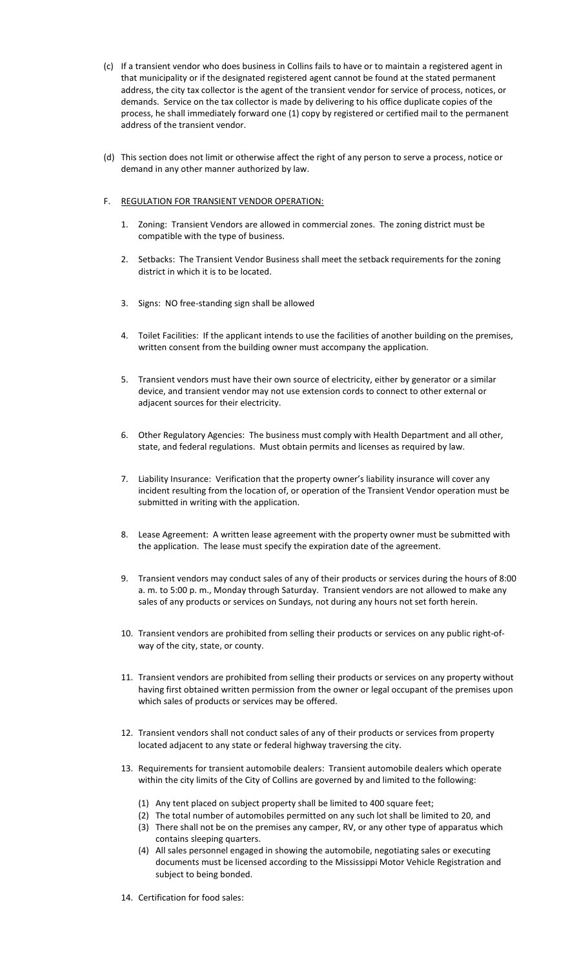- (c) If a transient vendor who does business in Collins fails to have or to maintain a registered agent in that municipality or if the designated registered agent cannot be found at the stated permanent address, the city tax collector is the agent of the transient vendor for service of process, notices, or demands. Service on the tax collector is made by delivering to his office duplicate copies of the process, he shall immediately forward one (1) copy by registered or certified mail to the permanent address of the transient vendor.
- (d) This section does not limit or otherwise affect the right of any person to serve a process, notice or demand in any other manner authorized by law.

## F. REGULATION FOR TRANSIENT VENDOR OPERATION:

- 1. Zoning: Transient Vendors are allowed in commercial zones. The zoning district must be compatible with the type of business.
- 2. Setbacks: The Transient Vendor Business shall meet the setback requirements for the zoning district in which it is to be located.
- 3. Signs: NO free-standing sign shall be allowed
- 4. Toilet Facilities: If the applicant intends to use the facilities of another building on the premises, written consent from the building owner must accompany the application.
- 5. Transient vendors must have their own source of electricity, either by generator or a similar device, and transient vendor may not use extension cords to connect to other external or adjacent sources for their electricity.
- 6. Other Regulatory Agencies: The business must comply with Health Department and all other, state, and federal regulations. Must obtain permits and licenses as required by law.
- 7. Liability Insurance: Verification that the property owner's liability insurance will cover any incident resulting from the location of, or operation of the Transient Vendor operation must be submitted in writing with the application.
- 8. Lease Agreement: A written lease agreement with the property owner must be submitted with the application. The lease must specify the expiration date of the agreement.
- 9. Transient vendors may conduct sales of any of their products or services during the hours of 8:00 a. m. to 5:00 p. m., Monday through Saturday. Transient vendors are not allowed to make any sales of any products or services on Sundays, not during any hours not set forth herein.
- 10. Transient vendors are prohibited from selling their products or services on any public right-ofway of the city, state, or county.
- 11. Transient vendors are prohibited from selling their products or services on any property without having first obtained written permission from the owner or legal occupant of the premises upon which sales of products or services may be offered.
- 12. Transient vendors shall not conduct sales of any of their products or services from property located adjacent to any state or federal highway traversing the city.
- 13. Requirements for transient automobile dealers: Transient automobile dealers which operate within the city limits of the City of Collins are governed by and limited to the following:
	- (1) Any tent placed on subject property shall be limited to 400 square feet;
	- (2) The total number of automobiles permitted on any such lot shall be limited to 20, and
	- (3) There shall not be on the premises any camper, RV, or any other type of apparatus which contains sleeping quarters.
	- (4) All sales personnel engaged in showing the automobile, negotiating sales or executing documents must be licensed according to the Mississippi Motor Vehicle Registration and subject to being bonded.
- 14. Certification for food sales: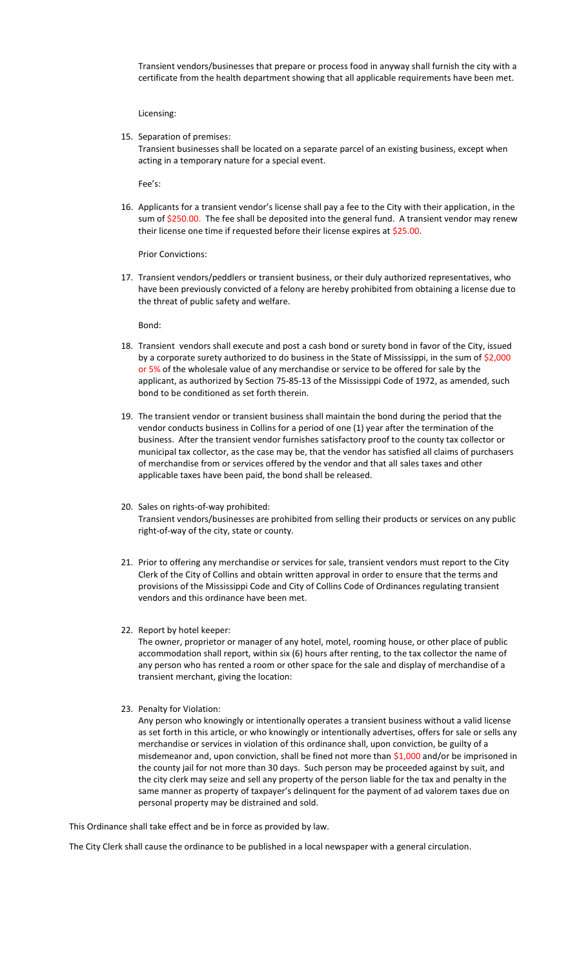Transient vendors/businesses that prepare or process food in anyway shall furnish the city with a certificate from the health department showing that all applicable requirements have been met.

Licensing:

15. Separation of premises:

Transient businesses shall be located on a separate parcel of an existing business, except when acting in a temporary nature for a special event.

Fee's:

16. Applicants for a transient vendor's license shall pay a fee to the City with their application, in the sum of \$250.00. The fee shall be deposited into the general fund. A transient vendor may renew their license one time if requested before their license expires at \$25.00.

Prior Convictions:

17. Transient vendors/peddlers or transient business, or their duly authorized representatives, who have been previously convicted of a felony are hereby prohibited from obtaining a license due to the threat of public safety and welfare.

Bond:

- 18. Transient vendors shall execute and post a cash bond or surety bond in favor of the City, issued by a corporate surety authorized to do business in the State of Mississippi, in the sum of \$2,000 or 5% of the wholesale value of any merchandise or service to be offered for sale by the applicant, as authorized by Section 75-85-13 of the Mississippi Code of 1972, as amended, such bond to be conditioned as set forth therein.
- 19. The transient vendor or transient business shall maintain the bond during the period that the vendor conducts business in Collins for a period of one (1) year after the termination of the business. After the transient vendor furnishes satisfactory proof to the county tax collector or municipal tax collector, as the case may be, that the vendor has satisfied all claims of purchasers of merchandise from or services offered by the vendor and that all sales taxes and other applicable taxes have been paid, the bond shall be released.
- 20. Sales on rights-of-way prohibited: Transient vendors/businesses are prohibited from selling their products or services on any public right-of-way of the city, state or county.
- 21. Prior to offering any merchandise or services for sale, transient vendors must report to the City Clerk of the City of Collins and obtain written approval in order to ensure that the terms and provisions of the Mississippi Code and City of Collins Code of Ordinances regulating transient vendors and this ordinance have been met.
- 22. Report by hotel keeper:

The owner, proprietor or manager of any hotel, motel, rooming house, or other place of public accommodation shall report, within six (6) hours after renting, to the tax collector the name of any person who has rented a room or other space for the sale and display of merchandise of a transient merchant, giving the location:

23. Penalty for Violation:

Any person who knowingly or intentionally operates a transient business without a valid license as set forth in this article, or who knowingly or intentionally advertises, offers for sale or sells any merchandise or services in violation of this ordinance shall, upon conviction, be guilty of a misdemeanor and, upon conviction, shall be fined not more than \$1,000 and/or be imprisoned in the county jail for not more than 30 days. Such person may be proceeded against by suit, and the city clerk may seize and sell any property of the person liable for the tax and penalty in the same manner as property of taxpayer's delinquent for the payment of ad valorem taxes due on personal property may be distrained and sold.

This Ordinance shall take effect and be in force as provided by law.

The City Clerk shall cause the ordinance to be published in a local newspaper with a general circulation.